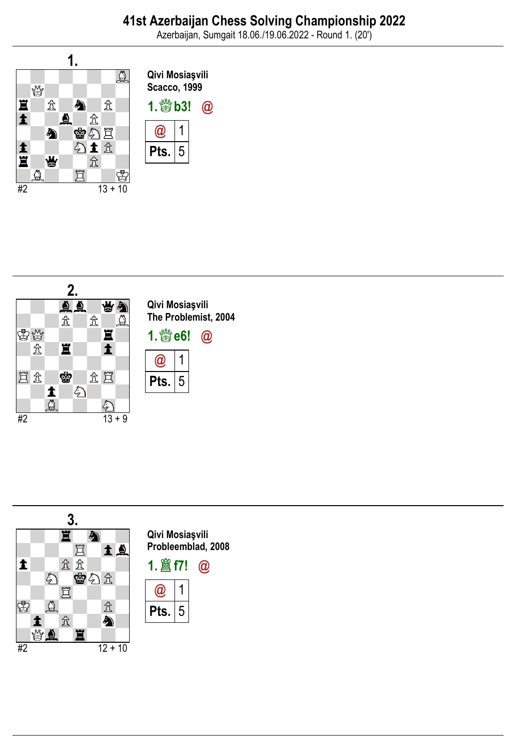Azerbaijan, Sumgait 18.06./19.06.2022 - Round 1. (20')





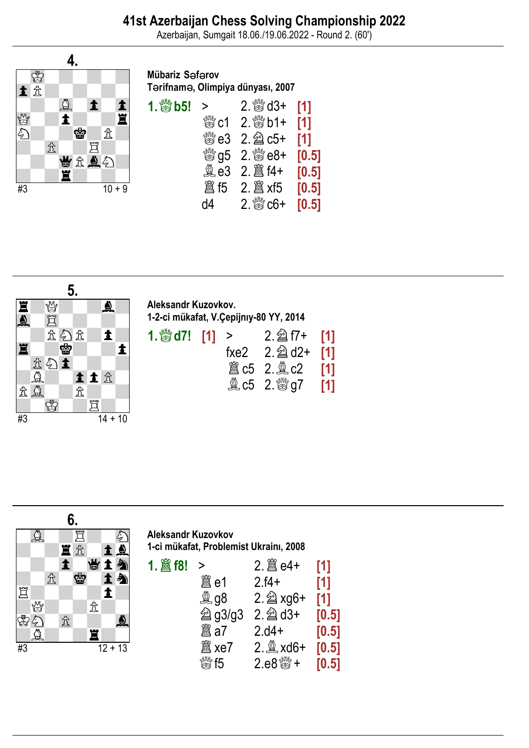Azerbaijan, Sumgait 18.06./19.06.2022 - Round 2. (60')



## Mübariz Safarov Terifname, Olimpiya dünyası, 2007

| 1. $\frac{300}{100}$ b5! > |    | $2.$ $\frac{800}{60}$ d3+ [1]                           |  |
|----------------------------|----|---------------------------------------------------------|--|
|                            |    | $\frac{300}{600}$ c1 2. $\frac{300}{60}$ b1+ [1]        |  |
|                            |    | ▓e3 2. @ c5+ [1]                                        |  |
|                            |    | $\frac{1000}{1000}$ g5 2. $\frac{1000}{1000}$ e8+ [0.5] |  |
|                            |    |                                                         |  |
|                            |    |                                                         |  |
|                            | d4 | $2.$ $\frac{600}{60}$ c6+ [0.5]                         |  |



## Aleksandr Kuzovkov. 1-2-ci mükafat, V.Çepijnıy-80 YY, 2014

| 1. $\frac{300}{100}$ d7! [1] > |  | $2.\nsubseteq 17 + [1]$                       |  |
|--------------------------------|--|-----------------------------------------------|--|
|                                |  | fxe2 $2.\n  2$ d2+ [1]                        |  |
|                                |  | <b>簋c5 2. ac2</b> [1]                         |  |
|                                |  | $2 \, \frac{\text{M}}{\text{M}} \text{G}$ (1) |  |



Aleksandr Kuzovkov 1-ci mükafat, Problemist Ukrainı, 2008

| $\geq$                                          |                         | [1]   |
|-------------------------------------------------|-------------------------|-------|
| 闔 e1                                            | $2.14+$                 | [1]   |
| <b>kg g8</b>                                    | $2.\n\cong xg6+$        | [1]   |
| <b>② g3/g3</b>                                  | $2.\n\hat{\otimes}$ d3+ | [0.5] |
| 闔 a7                                            | $2.04+$                 | [0.5] |
| 闔 xe7                                           | $2.2$ xd6+              | [0.5] |
| $\stackrel{\text{\tiny{f\&f\lll}}}{\otimes}$ f5 | $2.68* +$               | [0.5] |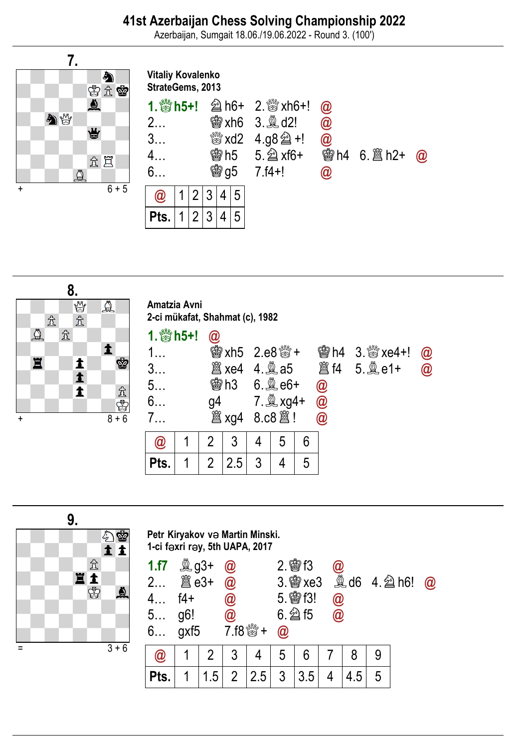## 41st Azerbaijan Chess Solving Championship 2022

Azerbaijan, Sumgait 18.06./19.06.2022 - Round 3. (100')





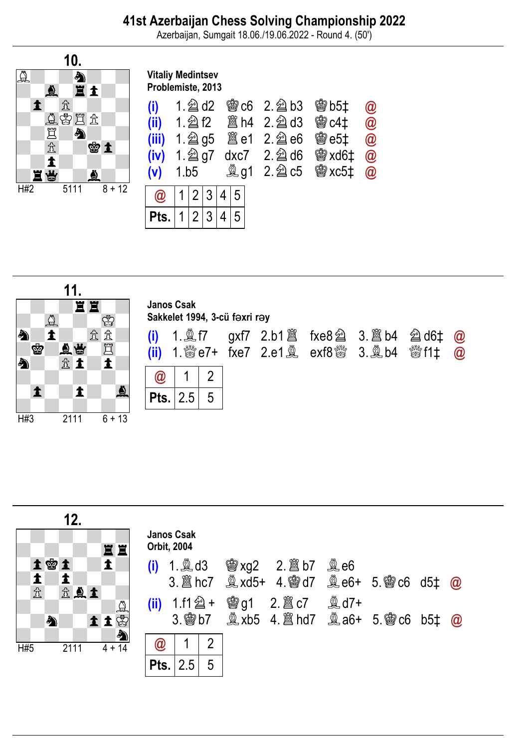Azerbaijan, Sumgait 18.06./19.06.2022 - Round 4. (50')



## Vitaliy Medintsev Problemiste, 2013

| (i)                                           | $1.$ @ d2<br>$Q$   1   2   3   4   5 |  |  |   |  |  | <b>曾c6 2. 鱼b3 曾b5‡</b><br>$(ii)$ 1. $2f2$ $8f4$ 2. $2f3$ $8f3$ $64f$ $60$<br>$(iii)$ 1. $2$ g5 $8$ e1 2. $2$ e6 $8$ e5 ‡<br>$(iv)$ 1. $\hat{2}$ g7 dxc7 2. $\hat{2}$ d6 $\hat{3}$ xd6 $\ddagger$<br>(v) 1.b5 $\&$ g1 2. $\&$ c5 $\&$ xc5‡ | $\bm{\omega}$<br>$\circleda$<br>$\circledR$<br>$\circleda$ |
|-----------------------------------------------|--------------------------------------|--|--|---|--|--|-------------------------------------------------------------------------------------------------------------------------------------------------------------------------------------------------------------------------------------------|------------------------------------------------------------|
|                                               |                                      |  |  |   |  |  |                                                                                                                                                                                                                                           |                                                            |
| $ \,\mathsf{Pts.}\, \,1\, \,2\, \,3\, \,4\, $ |                                      |  |  | 5 |  |  |                                                                                                                                                                                                                                           |                                                            |



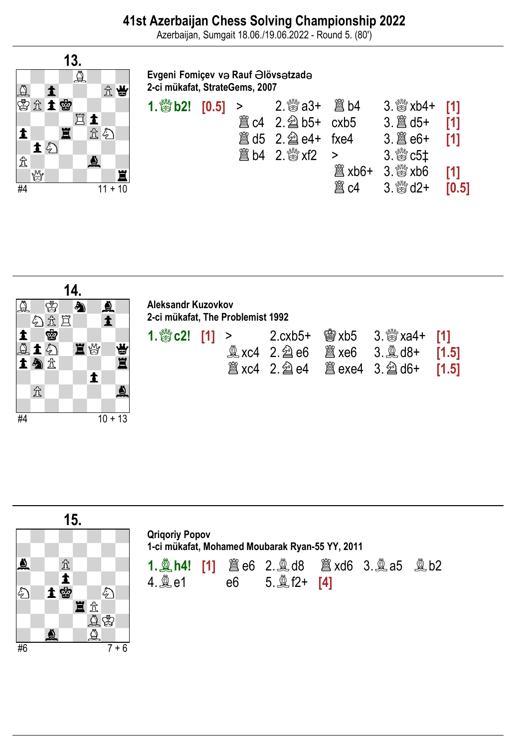Azerbaijan, Sumgait 18.06./19.06.2022 - Round 5. (80')



Evgeni Fomiçev və Rauf Əlövs atzad 2-ci mükafat, StrateGems, 2007

| 1. $\frac{36}{2}$ b2! [0.5] > |  |                        |                     | $3.$ $\frac{80}{10}$ xb4+ [1] |                |
|-------------------------------|--|------------------------|---------------------|-------------------------------|----------------|
|                               |  | 簋 c4 2. 2 b5+ cxb5     |                     |                               | $\blacksquare$ |
|                               |  |                        |                     | $3.\n  2\n  3\n  6+  \n  1\n$ |                |
|                               |  | <b>邋 b4</b> 2. ▒ xf2 > |                     | $3.$ $\%$ $c5$ $\ddagger$     |                |
|                               |  |                        | <sup>2</sup> a xb6+ | 3. $\frac{100}{100}$ xb6 [1]  |                |
|                               |  |                        | 闔 c4                | $3.$ $\frac{800}{20}$ d2+     | [0.5]          |